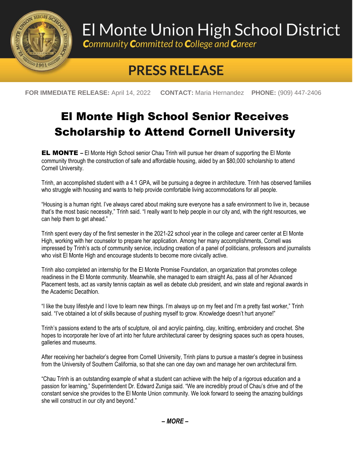

## El Monte Union High School District

**Community Committed to College and Career** 

## **PRESS RELEASE**

**FOR IMMEDIATE RELEASE:** April 14, 2022 **CONTACT:** Maria Hernandez **PHONE:** (909) 447-2406

## El Monte High School Senior Receives Scholarship to Attend Cornell University

EL MONTE **–** El Monte High School senior Chau Trinh will pursue her dream of supporting the El Monte community through the construction of safe and affordable housing, aided by an \$80,000 scholarship to attend Cornell University.

Trinh, an accomplished student with a 4.1 GPA, will be pursuing a degree in architecture. Trinh has observed families who struggle with housing and wants to help provide comfortable living accommodations for all people.

"Housing is a human right. I've always cared about making sure everyone has a safe environment to live in, because that's the most basic necessity," Trinh said. "I really want to help people in our city and, with the right resources, we can help them to get ahead."

Trinh spent every day of the first semester in the 2021-22 school year in the college and career center at El Monte High, working with her counselor to prepare her application. Among her many accomplishments, Cornell was impressed by Trinh's acts of community service, including creation of a panel of politicians, professors and journalists who visit El Monte High and encourage students to become more civically active.

Trinh also completed an internship for the El Monte Promise Foundation, an organization that promotes college readiness in the El Monte community. Meanwhile, she managed to earn straight As, pass all of her Advanced Placement tests, act as varsity tennis captain as well as debate club president, and win state and regional awards in the Academic Decathlon.

"I like the busy lifestyle and I love to learn new things. I'm always up on my feet and I'm a pretty fast worker," Trinh said. "I've obtained a lot of skills because of pushing myself to grow. Knowledge doesn't hurt anyone!"

Trinh's passions extend to the arts of sculpture, oil and acrylic painting, clay, knitting, embroidery and crochet. She hopes to incorporate her love of art into her future architectural career by designing spaces such as opera houses, galleries and museums.

After receiving her bachelor's degree from Cornell University, Trinh plans to pursue a master's degree in business from the University of Southern California, so that she can one day own and manage her own architectural firm.

"Chau Trinh is an outstanding example of what a student can achieve with the help of a rigorous education and a passion for learning," Superintendent Dr. Edward Zuniga said. "We are incredibly proud of Chau's drive and of the constant service she provides to the El Monte Union community. We look forward to seeing the amazing buildings she will construct in our city and beyond."